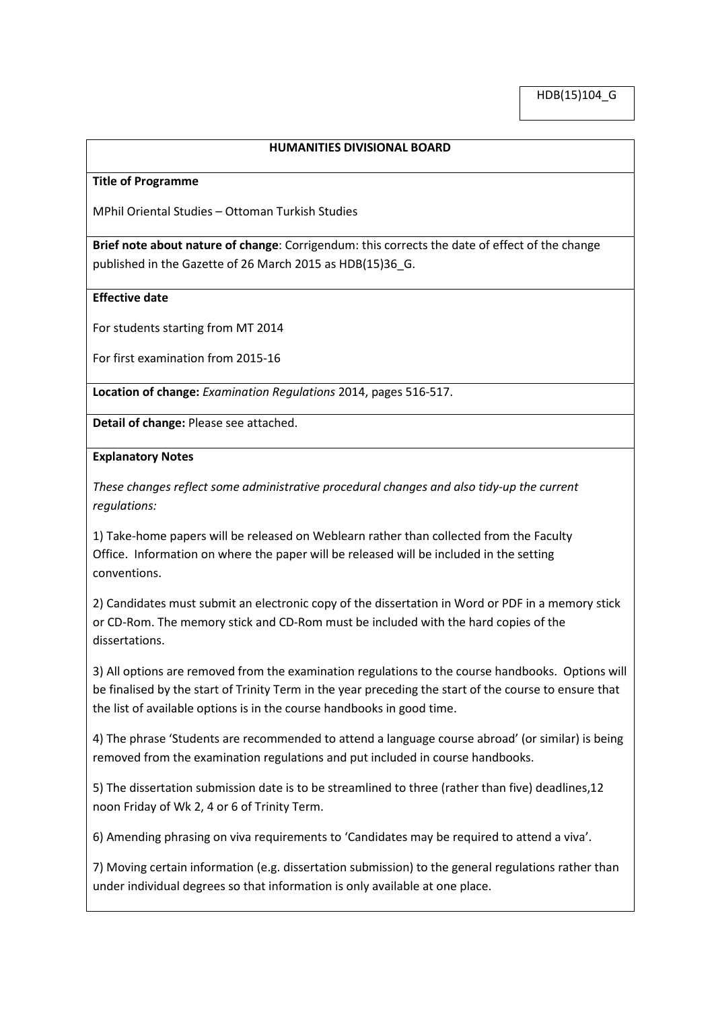## **HUMANITIES DIVISIONAL BOARD**

#### **Title of Programme**

MPhil Oriental Studies – Ottoman Turkish Studies

**Brief note about nature of change**: Corrigendum: this corrects the date of effect of the change published in the Gazette of 26 March 2015 as HDB(15)36\_G.

### **Effective date**

For students starting from MT 2014

For first examination from 2015-16

**Location of change:** *Examination Regulations* 2014, pages 516-517.

**Detail of change:** Please see attached.

### **Explanatory Notes**

*These changes reflect some administrative procedural changes and also tidy-up the current regulations:*

1) Take-home papers will be released on Weblearn rather than collected from the Faculty Office. Information on where the paper will be released will be included in the setting conventions.

2) Candidates must submit an electronic copy of the dissertation in Word or PDF in a memory stick or CD-Rom. The memory stick and CD-Rom must be included with the hard copies of the dissertations.

3) All options are removed from the examination regulations to the course handbooks. Options will be finalised by the start of Trinity Term in the year preceding the start of the course to ensure that the list of available options is in the course handbooks in good time.

4) The phrase 'Students are recommended to attend a language course abroad' (or similar) is being removed from the examination regulations and put included in course handbooks.

5) The dissertation submission date is to be streamlined to three (rather than five) deadlines,12 noon Friday of Wk 2, 4 or 6 of Trinity Term.

6) Amending phrasing on viva requirements to 'Candidates may be required to attend a viva'.

7) Moving certain information (e.g. dissertation submission) to the general regulations rather than under individual degrees so that information is only available at one place.